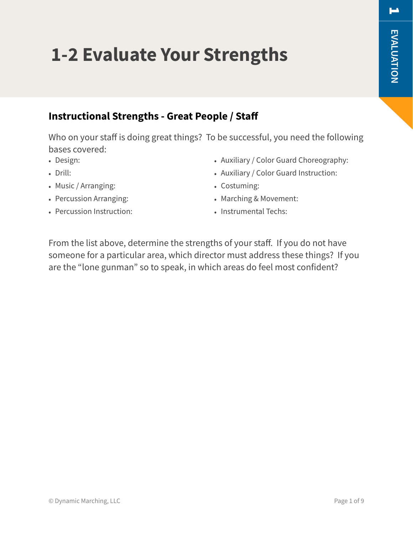### **Instructional Strengths - Great People / Staff**

**1-2 Evaluate Your Strengths**

Who on your staff is doing great things? To be successful, you need the following bases covered:

- Design:
- Drill:
- Music / Arranging:
- Percussion Arranging:
- Percussion Instruction:
- Auxiliary / Color Guard Choreography:
- Auxiliary / Color Guard Instruction:
- Costuming:
- Marching & Movement:
- Instrumental Techs:

From the list above, determine the strengths of your staff. If you do not have someone for a particular area, which director must address these things? If you are the "lone gunman" so to speak, in which areas do feel most confident?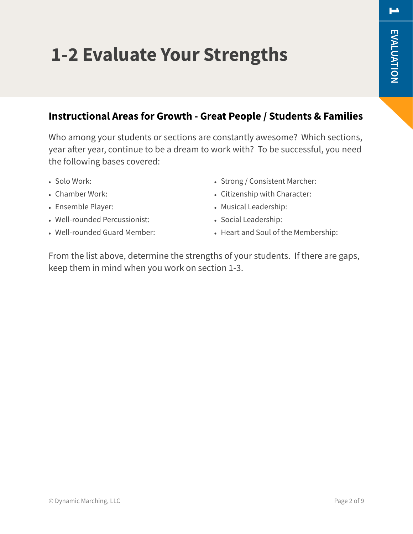# **1-2 Evaluate Your Strengths**

### **Instructional Areas for Growth - Great People / Students & Families**

Who among your students or sections are constantly awesome? Which sections, year after year, continue to be a dream to work with? To be successful, you need the following bases covered:

- Solo Work:
- Chamber Work:
- Ensemble Player:
- Well-rounded Percussionist:
- Well-rounded Guard Member:
- Strong / Consistent Marcher:
- Citizenship with Character:
- Musical Leadership:
- Social Leadership:
- Heart and Soul of the Membership:

From the list above, determine the strengths of your students. If there are gaps, keep them in mind when you work on section 1-3.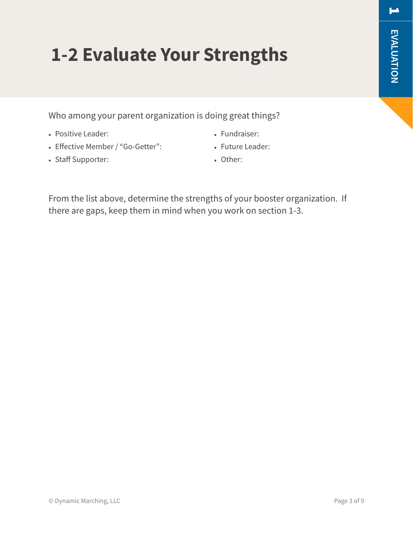# **1-2 Evaluate Your Strengths**

Who among your parent organization is doing great things?

- Positive Leader:
- Effective Member / "Go-Getter":
- Staff Supporter:
- Fundraiser:
- Future Leader:
	- Other:

From the list above, determine the strengths of your booster organization. If there are gaps, keep them in mind when you work on section 1-3.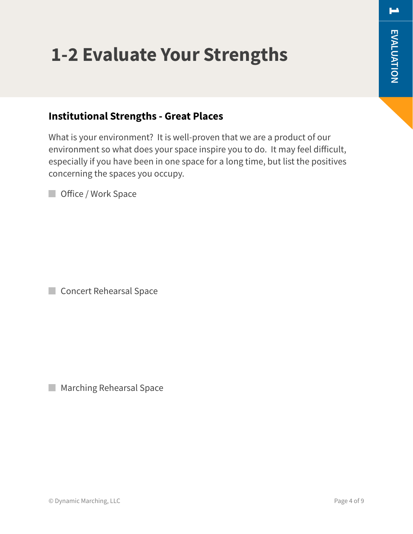# **1-2 Evaluate Your Strengths**

### **Institutional Strengths - Great Places**

What is your environment? It is well-proven that we are a product of our environment so what does your space inspire you to do. It may feel difficult, especially if you have been in one space for a long time, but list the positives concerning the spaces you occupy.

**Office / Work Space** 

Concert Rehearsal Space

**Marching Rehearsal Space**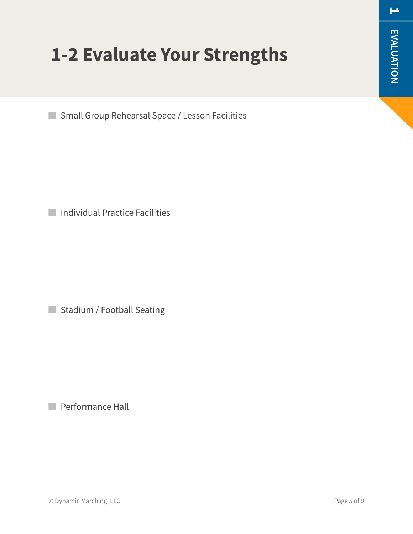## **1-2 Evaluate Your Strengths**

**Small Group Rehearsal Space / Lesson Facilities** 

**Individual Practice Facilities** 

Stadium / Football Seating

**Performance Hall**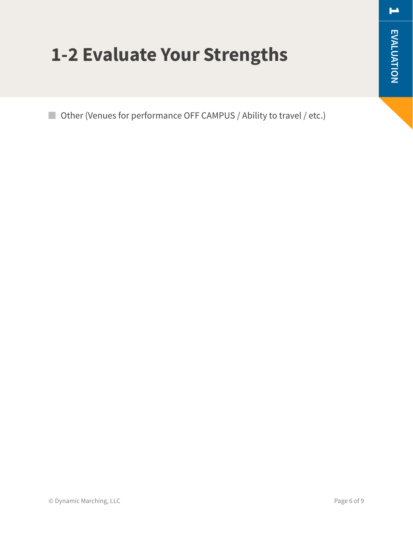$\blacksquare$ 

## **1-2 Evaluate Your Strengths**

■ Other (Venues for performance OFF CAMPUS / Ability to travel / etc.)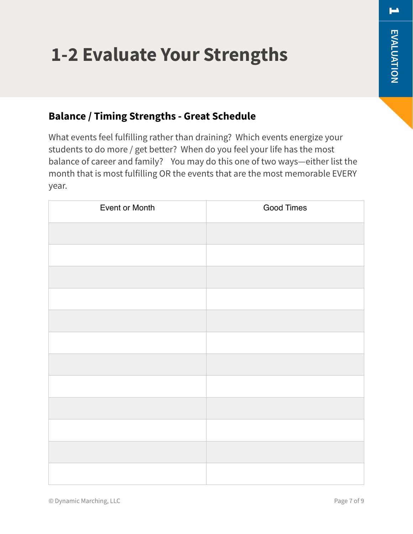# **1-2 Evaluate Your Strengths**

### **Balance / Timing Strengths - Great Schedule**

What events feel fulfilling rather than draining? Which events energize your students to do more / get better? When do you feel your life has the most balance of career and family? You may do this one of two ways—either list the month that is most fulfilling OR the events that are the most memorable EVERY year.

| Event or Month | Good Times |
|----------------|------------|
|                |            |
|                |            |
|                |            |
|                |            |
|                |            |
|                |            |
|                |            |
|                |            |
|                |            |
|                |            |
|                |            |
|                |            |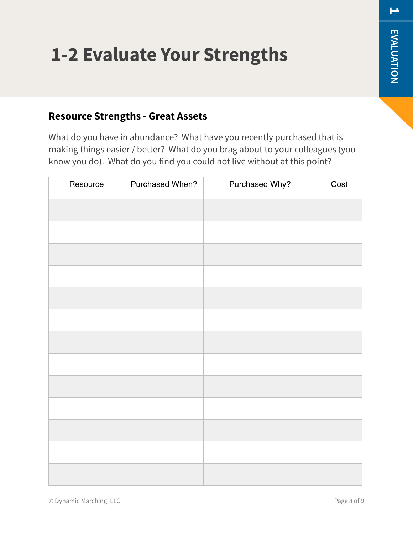# **1-2 Evaluate Your Strengths**

#### **Resource Strengths - Great Assets**

What do you have in abundance? What have you recently purchased that is making things easier / better? What do you brag about to your colleagues (you know you do). What do you find you could not live without at this point?

| Resource | Purchased When? | Purchased Why? | Cost |
|----------|-----------------|----------------|------|
|          |                 |                |      |
|          |                 |                |      |
|          |                 |                |      |
|          |                 |                |      |
|          |                 |                |      |
|          |                 |                |      |
|          |                 |                |      |
|          |                 |                |      |
|          |                 |                |      |
|          |                 |                |      |
|          |                 |                |      |
|          |                 |                |      |
|          |                 |                |      |